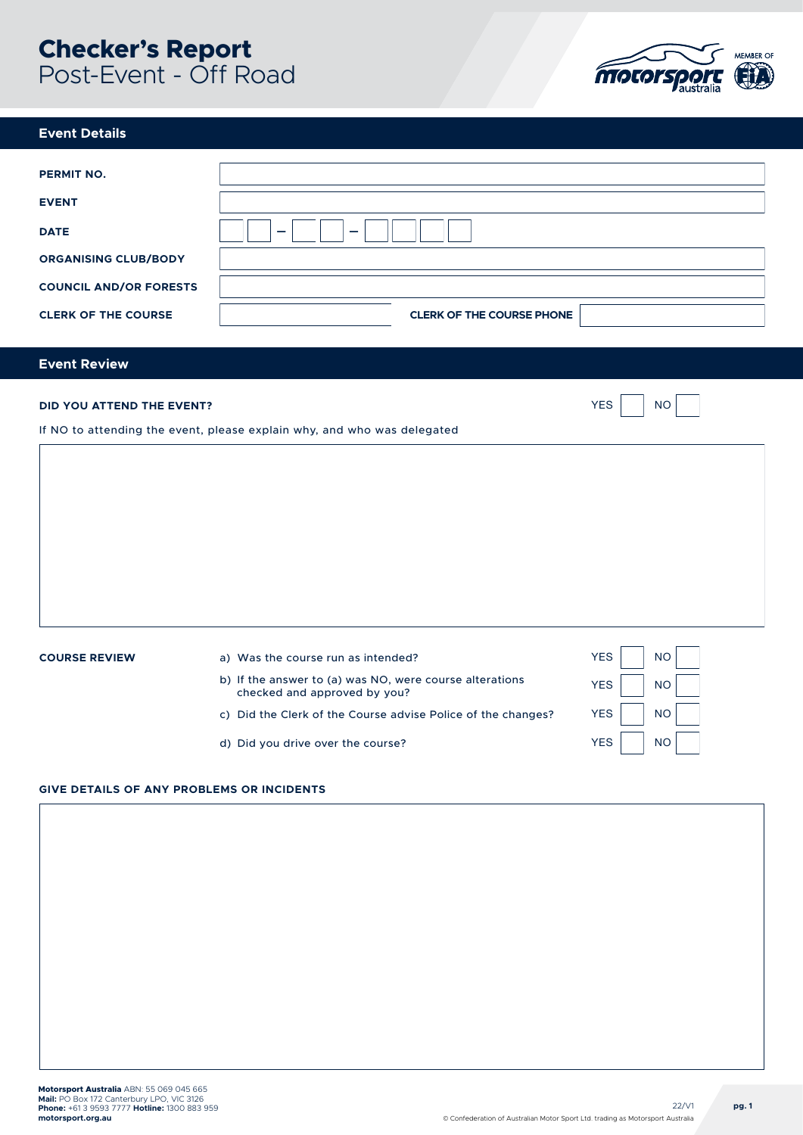# **Checker's Report**  Post-Event - Off Road



### **Event Details**

| <b>PERMIT NO.</b>             |                                  |
|-------------------------------|----------------------------------|
| <b>EVENT</b>                  |                                  |
| <b>DATE</b>                   | -<br>-                           |
| <b>ORGANISING CLUB/BODY</b>   |                                  |
| <b>COUNCIL AND/OR FORESTS</b> |                                  |
| <b>CLERK OF THE COURSE</b>    | <b>CLERK OF THE COURSE PHONE</b> |
|                               |                                  |

# **Event Review**

| <b>DID YOU ATTEND THE EVENT?</b><br>If NO to attending the event, please explain why, and who was delegated |                                                                                                                                                                                               |                                        | <b>NO</b>                           |
|-------------------------------------------------------------------------------------------------------------|-----------------------------------------------------------------------------------------------------------------------------------------------------------------------------------------------|----------------------------------------|-------------------------------------|
|                                                                                                             |                                                                                                                                                                                               |                                        |                                     |
| <b>COURSE REVIEW</b>                                                                                        | a) Was the course run as intended?<br>b) If the answer to (a) was NO, were course alterations<br>checked and approved by you?<br>c) Did the Clerk of the Course advise Police of the changes? | <b>YES</b><br><b>YES</b><br><b>YES</b> | <b>NO</b><br><b>NO</b><br><b>NO</b> |

d) Did you drive over the course?

## **GIVE DETAILS OF ANY PROBLEMS OR INCIDENTS**

YES

NO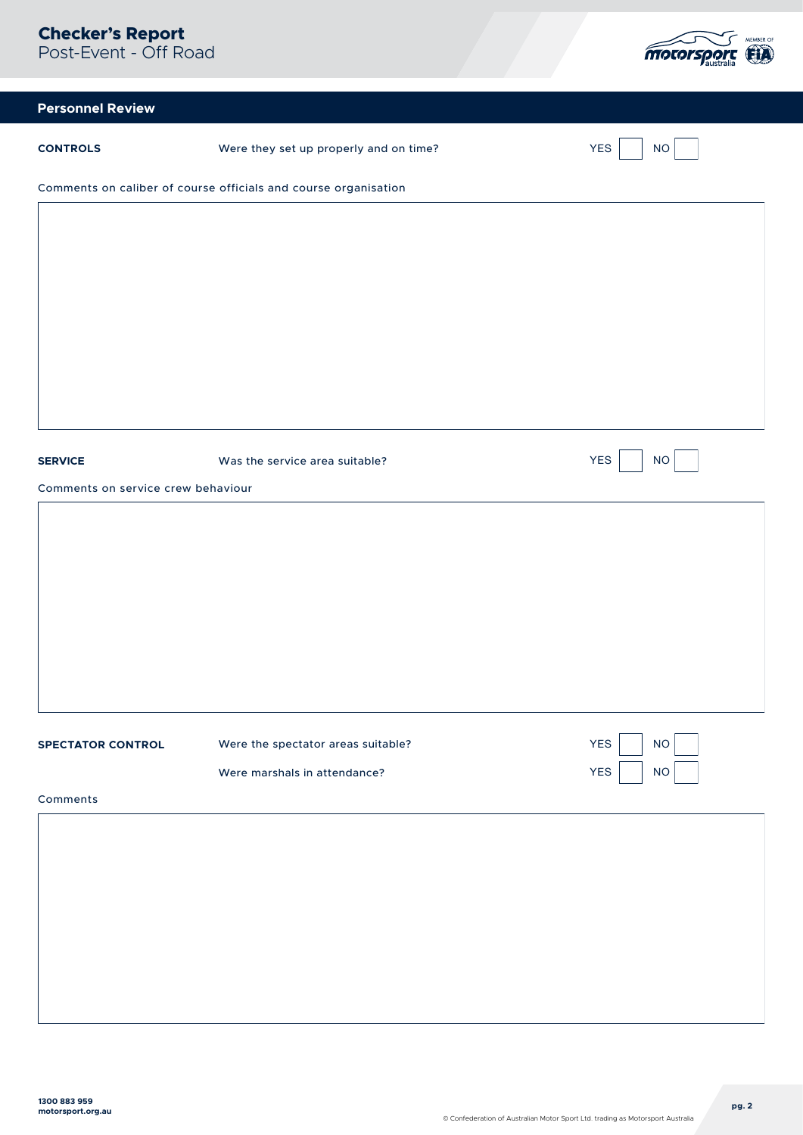

| <b>Personnel Review</b>            |                                                                 |                         |  |  |
|------------------------------------|-----------------------------------------------------------------|-------------------------|--|--|
| <b>CONTROLS</b>                    | Were they set up properly and on time?                          | <b>YES</b><br>$\rm NO$  |  |  |
|                                    | Comments on caliber of course officials and course organisation |                         |  |  |
|                                    |                                                                 |                         |  |  |
|                                    |                                                                 |                         |  |  |
|                                    |                                                                 |                         |  |  |
|                                    |                                                                 |                         |  |  |
|                                    |                                                                 |                         |  |  |
|                                    |                                                                 |                         |  |  |
|                                    |                                                                 |                         |  |  |
| <b>SERVICE</b>                     | Was the service area suitable?                                  | <b>YES</b><br>$\rm NO$  |  |  |
| Comments on service crew behaviour |                                                                 |                         |  |  |
|                                    |                                                                 |                         |  |  |
|                                    |                                                                 |                         |  |  |
|                                    |                                                                 |                         |  |  |
|                                    |                                                                 |                         |  |  |
|                                    |                                                                 |                         |  |  |
|                                    |                                                                 |                         |  |  |
| <b>SPECTATOR CONTROL</b>           | Were the spectator areas suitable?                              | <b>YES</b><br><b>NO</b> |  |  |
|                                    | Were marshals in attendance?                                    | <b>YES</b><br>$NO$      |  |  |
| Comments                           |                                                                 |                         |  |  |
|                                    |                                                                 |                         |  |  |
|                                    |                                                                 |                         |  |  |
|                                    |                                                                 |                         |  |  |
|                                    |                                                                 |                         |  |  |
|                                    |                                                                 |                         |  |  |